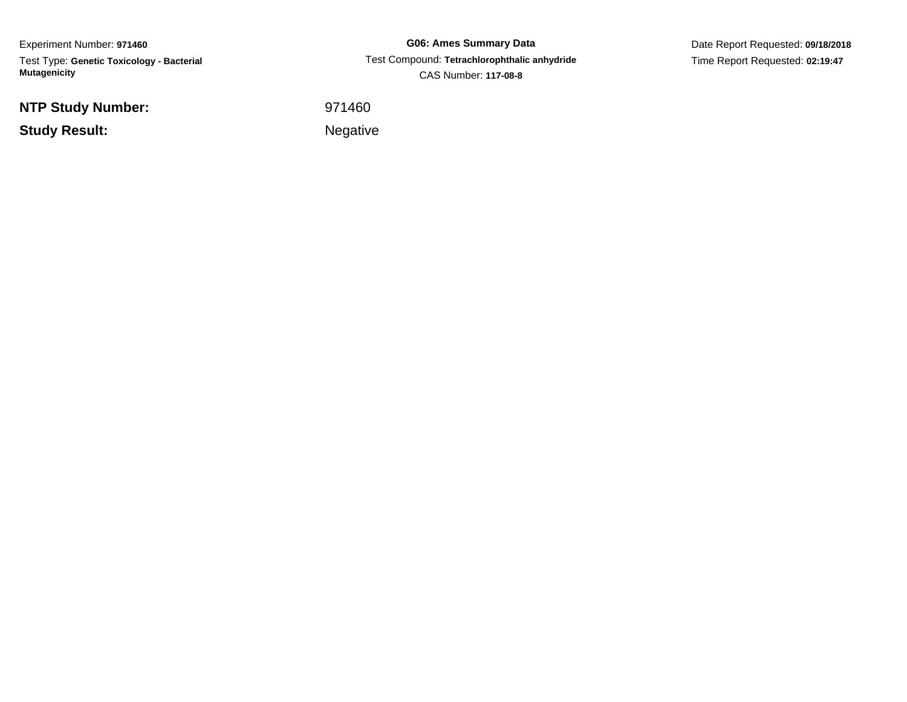Experiment Number: **971460** Test Type: **Genetic Toxicology - Bacterial Mutagenicity**

**NTP Study Number:**

**Study Result:**

**G06: Ames Summary Data** Test Compound: **Tetrachlorophthalic anhydride**CAS Number: **117-08-8**

Date Report Requested: **09/18/2018**Time Report Requested: **02:19:47**

 <sup>971460</sup>Negative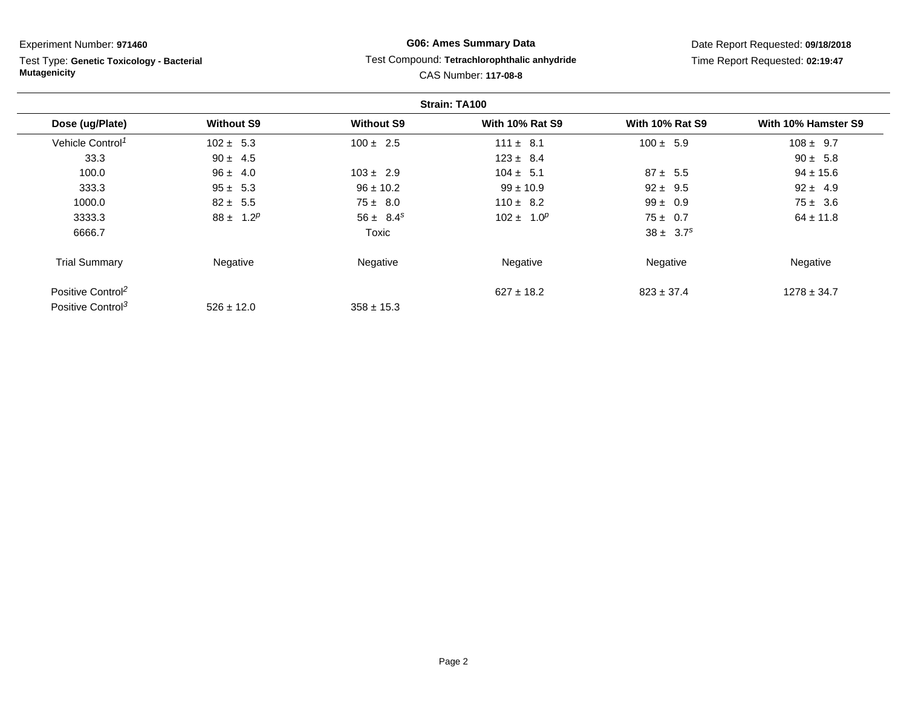Test Type: **Genetic Toxicology - Bacterial Mutagenicity**

# **G06: Ames Summary Data** Test Compound: **Tetrachlorophthalic anhydride**CAS Number: **117-08-8**

|                               |                   |                   | Strain: TA100          |                           |                     |
|-------------------------------|-------------------|-------------------|------------------------|---------------------------|---------------------|
| Dose (ug/Plate)               | <b>Without S9</b> | <b>Without S9</b> | <b>With 10% Rat S9</b> | <b>With 10% Rat S9</b>    | With 10% Hamster S9 |
| Vehicle Control <sup>1</sup>  | $102 \pm 5.3$     | $100 \pm 2.5$     | $111 \pm 8.1$          | $100 \pm 5.9$             | $108 \pm 9.7$       |
| 33.3                          | $90 \pm 4.5$      |                   | $123 \pm 8.4$          |                           | $90 \pm 5.8$        |
| 100.0                         | $96 \pm 4.0$      | $103 \pm 2.9$     | $104 \pm 5.1$          | $87 \pm 5.5$              | $94 \pm 15.6$       |
| 333.3                         | $95 \pm 5.3$      | $96 \pm 10.2$     | $99 \pm 10.9$          | $92 \pm 9.5$              | $92 \pm 4.9$        |
| 1000.0                        | $82 \pm 5.5$      | $75 \pm 8.0$      | $110 \pm 8.2$          | $99 \pm 0.9$              | $75 \pm 3.6$        |
| 3333.3                        | $88 \pm 1.2^p$    | $56 \pm 8.4^s$    | $102 \pm 1.0^p$        | $75 \pm 0.7$              | $64 \pm 11.8$       |
| 6666.7                        |                   | Toxic             |                        | $38 \pm 3.7$ <sup>s</sup> |                     |
| <b>Trial Summary</b>          | Negative          | Negative          | Negative               | Negative                  | Negative            |
| Positive Control <sup>2</sup> |                   |                   | $627 \pm 18.2$         | $823 \pm 37.4$            | $1278 \pm 34.7$     |
| Positive Control <sup>3</sup> | $526 \pm 12.0$    | $358 \pm 15.3$    |                        |                           |                     |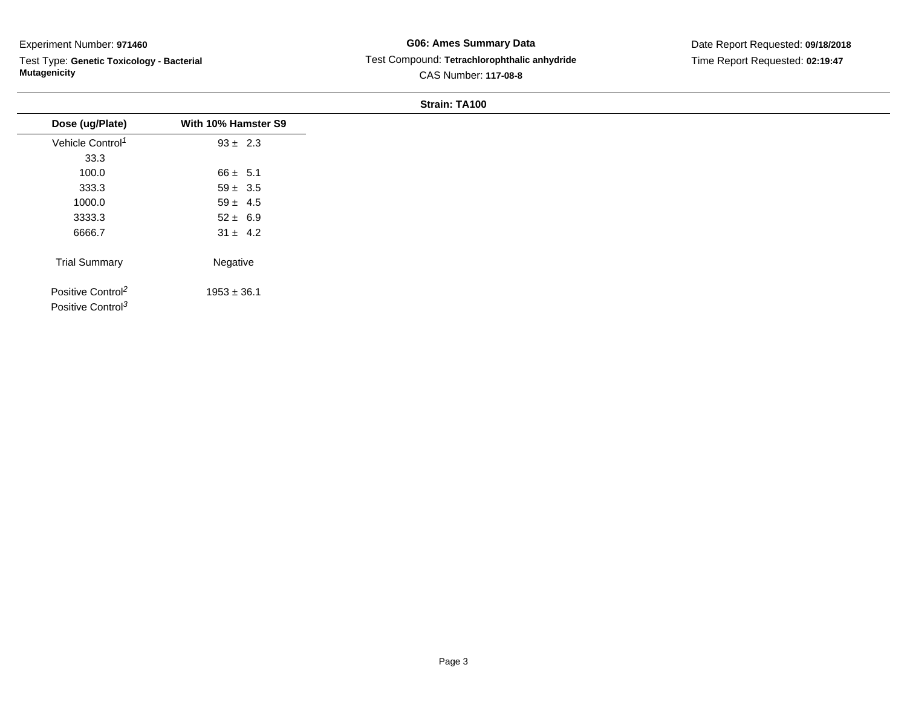Test Type: **Genetic Toxicology - Bacterial Mutagenicity**

# **G06: Ames Summary Data** Test Compound: **Tetrachlorophthalic anhydride**CAS Number: **117-08-8**

# Date Report Requested: **09/18/2018**Time Report Requested: **02:19:47**

| Dose (ug/Plate)                                                | With 10% Hamster S9 |
|----------------------------------------------------------------|---------------------|
| Vehicle Control <sup>1</sup>                                   | $93 \pm 2.3$        |
| 33.3                                                           |                     |
| 100.0                                                          | $66 \pm 5.1$        |
| 333.3                                                          | $59 \pm 3.5$        |
| 1000.0                                                         | $59 \pm 4.5$        |
| 3333.3                                                         | $52 \pm 6.9$        |
| 6666.7                                                         | $31 \pm 4.2$        |
| <b>Trial Summary</b>                                           | Negative            |
| Positive Control <sup>2</sup><br>Positive Control <sup>3</sup> | $1953 \pm 36.1$     |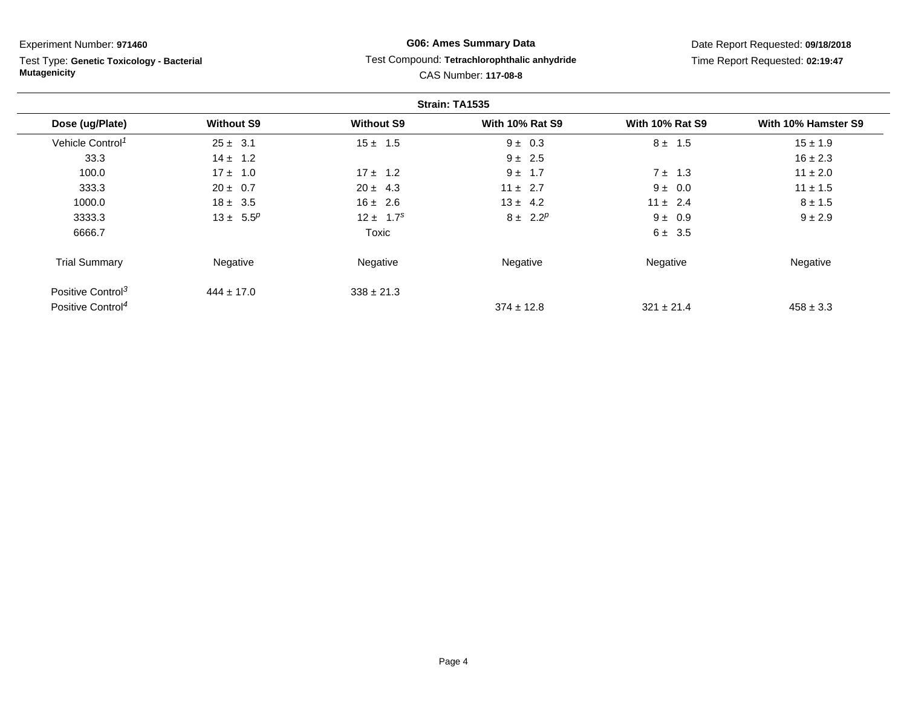Test Type: **Genetic Toxicology - Bacterial Mutagenicity**

# **G06: Ames Summary Data** Test Compound: **Tetrachlorophthalic anhydride**CAS Number: **117-08-8**

|                               |                   |                   | Strain: TA1535         |                        |                     |
|-------------------------------|-------------------|-------------------|------------------------|------------------------|---------------------|
| Dose (ug/Plate)               | <b>Without S9</b> | <b>Without S9</b> | <b>With 10% Rat S9</b> | <b>With 10% Rat S9</b> | With 10% Hamster S9 |
| Vehicle Control <sup>1</sup>  | $25 \pm 3.1$      | $15 \pm 1.5$      | $9 \pm 0.3$            | $8 \pm 1.5$            | $15 \pm 1.9$        |
| 33.3                          | $14 \pm 1.2$      |                   | $9 \pm 2.5$            |                        | $16 \pm 2.3$        |
| 100.0                         | $17 \pm 1.0$      | $17 \pm 1.2$      | $9 \pm 1.7$            | $7 \pm 1.3$            | $11 \pm 2.0$        |
| 333.3                         | $20 \pm 0.7$      | $20 \pm 4.3$      | $11 \pm 2.7$           | $9 \pm 0.0$            | $11 \pm 1.5$        |
| 1000.0                        | $18 \pm 3.5$      | $16 \pm 2.6$      | $13 \pm 4.2$           | $11 \pm 2.4$           | $8 \pm 1.5$         |
| 3333.3                        | $13 \pm 5.5^p$    | $12 \pm 1.7^s$    | $8 \pm 2.2^p$          | $9 \pm 0.9$            | $9 \pm 2.9$         |
| 6666.7                        |                   | Toxic             |                        | $6 \pm 3.5$            |                     |
| <b>Trial Summary</b>          | Negative          | Negative          | Negative               | Negative               | Negative            |
| Positive Control <sup>3</sup> | $444 \pm 17.0$    | $338 \pm 21.3$    |                        |                        |                     |
| Positive Control <sup>4</sup> |                   |                   | $374 \pm 12.8$         | $321 \pm 21.4$         | $458 \pm 3.3$       |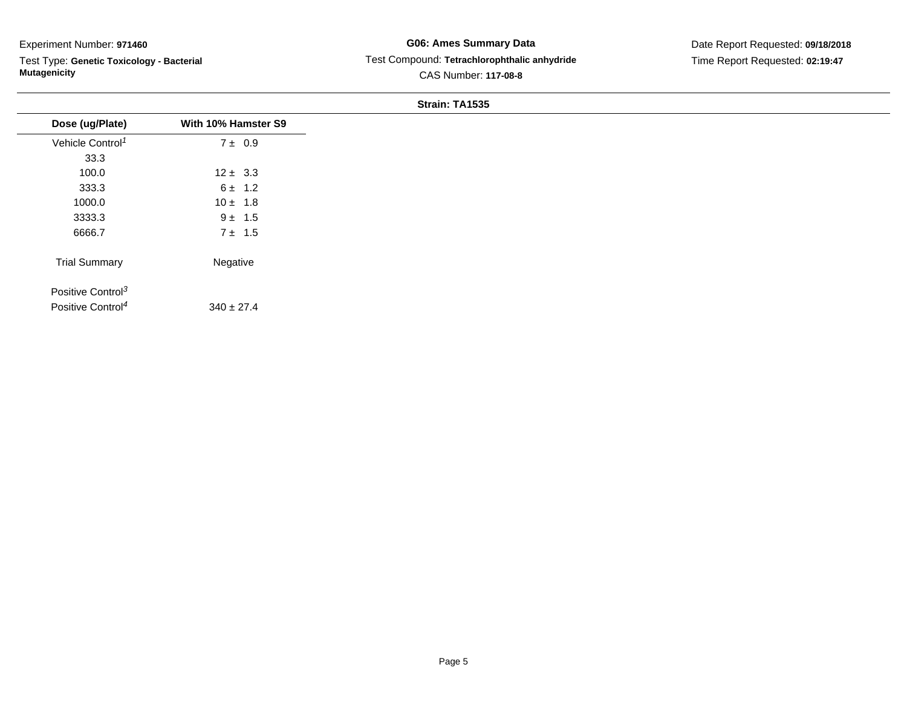Test Type: **Genetic Toxicology - Bacterial Mutagenicity**

# **G06: Ames Summary Data** Test Compound: **Tetrachlorophthalic anhydride**CAS Number: **117-08-8**

Date Report Requested: **09/18/2018**Time Report Requested: **02:19:47**

|                               |                     | Strain: TA1535 |
|-------------------------------|---------------------|----------------|
| Dose (ug/Plate)               | With 10% Hamster S9 |                |
| Vehicle Control <sup>1</sup>  | $7 \pm 0.9$         |                |
| 33.3                          |                     |                |
| 100.0                         | $12 \pm 3.3$        |                |
| 333.3                         | $6 \pm 1.2$         |                |
| 1000.0                        | $10 \pm 1.8$        |                |
| 3333.3                        | $9 \pm 1.5$         |                |
| 6666.7                        | $7 \pm 1.5$         |                |
| <b>Trial Summary</b>          | Negative            |                |
| Positive Control <sup>3</sup> |                     |                |
| Positive Control <sup>4</sup> | $340 \pm 27.4$      |                |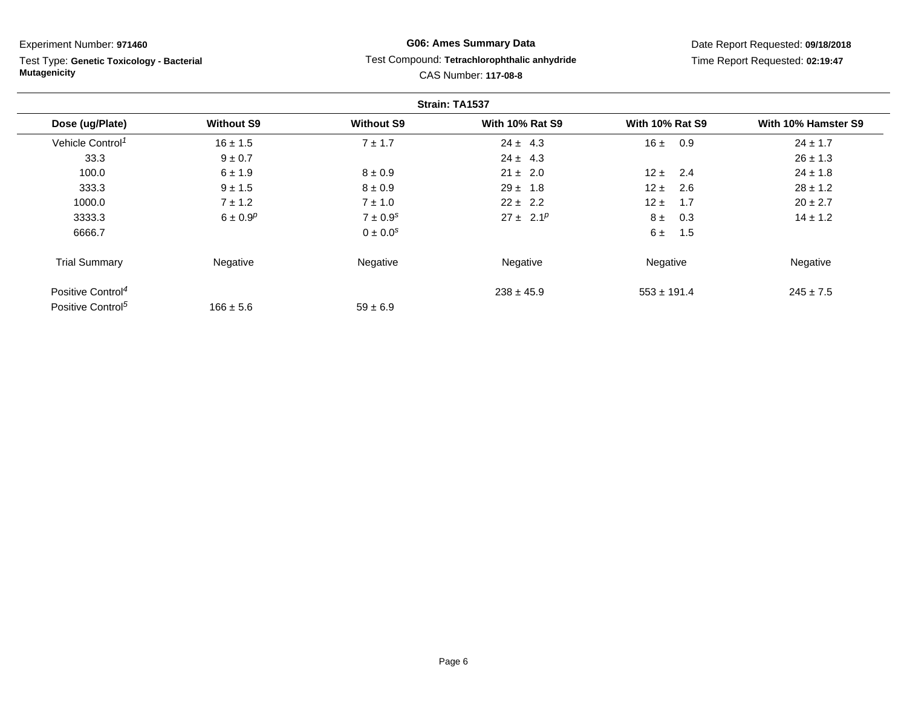Test Type: **Genetic Toxicology - Bacterial Mutagenicity**

# **G06: Ames Summary Data** Test Compound: **Tetrachlorophthalic anhydride**CAS Number: **117-08-8**

|                               |                   |                          | Strain: TA1537         |                        |                     |
|-------------------------------|-------------------|--------------------------|------------------------|------------------------|---------------------|
| Dose (ug/Plate)               | <b>Without S9</b> | <b>Without S9</b>        | <b>With 10% Rat S9</b> | <b>With 10% Rat S9</b> | With 10% Hamster S9 |
| Vehicle Control <sup>1</sup>  | $16 \pm 1.5$      | $7 \pm 1.7$              | $24 \pm 4.3$           | 16±<br>0.9             | $24 \pm 1.7$        |
| 33.3                          | $9 \pm 0.7$       |                          | $24 \pm 4.3$           |                        | $26 \pm 1.3$        |
| 100.0                         | $6 \pm 1.9$       | $8 \pm 0.9$              | $21 \pm 2.0$           | $12 \pm$<br>2.4        | $24 \pm 1.8$        |
| 333.3                         | $9 \pm 1.5$       | $8 \pm 0.9$              | $29 \pm 1.8$           | $12 \pm$<br>2.6        | $28 \pm 1.2$        |
| 1000.0                        | $7 \pm 1.2$       | $7 \pm 1.0$              | $22 \pm 2.2$           | $12 \pm$<br>1.7        | $20 \pm 2.7$        |
| 3333.3                        | $6 \pm 0.9^p$     | $7 \pm 0.9^s$            | $27 \pm 2.1^p$         | 8±<br>0.3              | $14 \pm 1.2$        |
| 6666.7                        |                   | $0 \pm 0.0$ <sup>s</sup> |                        | 6±<br>1.5              |                     |
| <b>Trial Summary</b>          | Negative          | Negative                 | Negative               | Negative               | Negative            |
| Positive Control <sup>4</sup> |                   |                          | $238 \pm 45.9$         | $553 \pm 191.4$        | $245 \pm 7.5$       |
| Positive Control <sup>5</sup> | $166 \pm 5.6$     | $59 \pm 6.9$             |                        |                        |                     |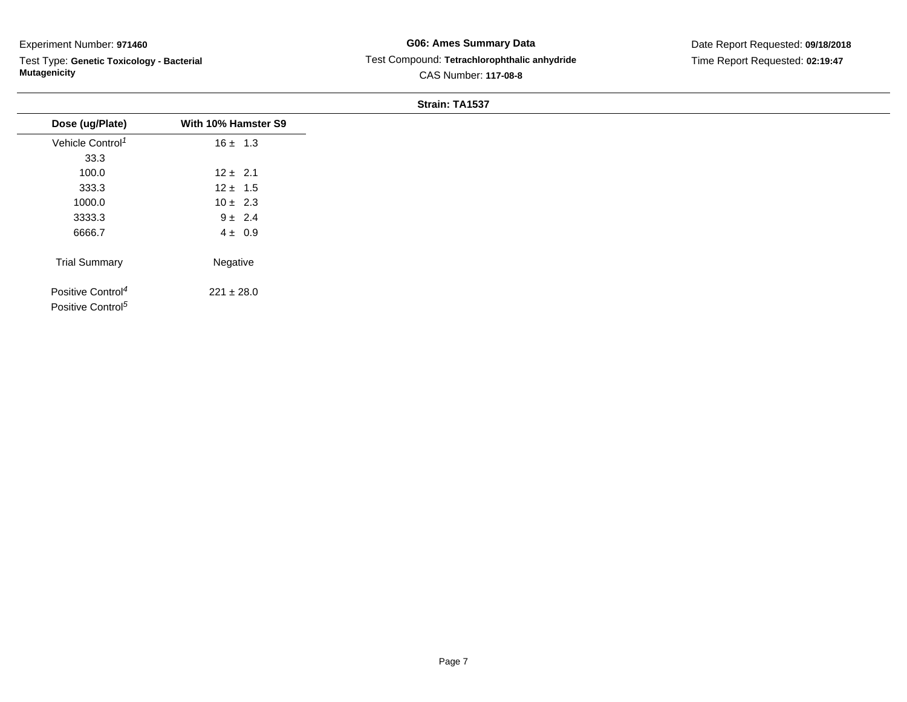Test Type: **Genetic Toxicology - Bacterial Mutagenicity**

# **G06: Ames Summary Data** Test Compound: **Tetrachlorophthalic anhydride**CAS Number: **117-08-8**

# Date Report Requested: **09/18/2018**Time Report Requested: **02:19:47**

| Dose (ug/Plate)               | With 10% Hamster S9 |
|-------------------------------|---------------------|
| Vehicle Control <sup>1</sup>  | $16 \pm 1.3$        |
| 33.3                          |                     |
| 100.0                         | $12 \pm 2.1$        |
| 333.3                         | $12 \pm 1.5$        |
| 1000.0                        | $10 \pm 2.3$        |
| 3333.3                        | $9 \pm 2.4$         |
| 6666.7                        | $4 \pm 0.9$         |
|                               |                     |
| <b>Trial Summary</b>          | Negative            |
| Positive Control <sup>4</sup> | $221 \pm 28.0$      |
| Positive Control <sup>5</sup> |                     |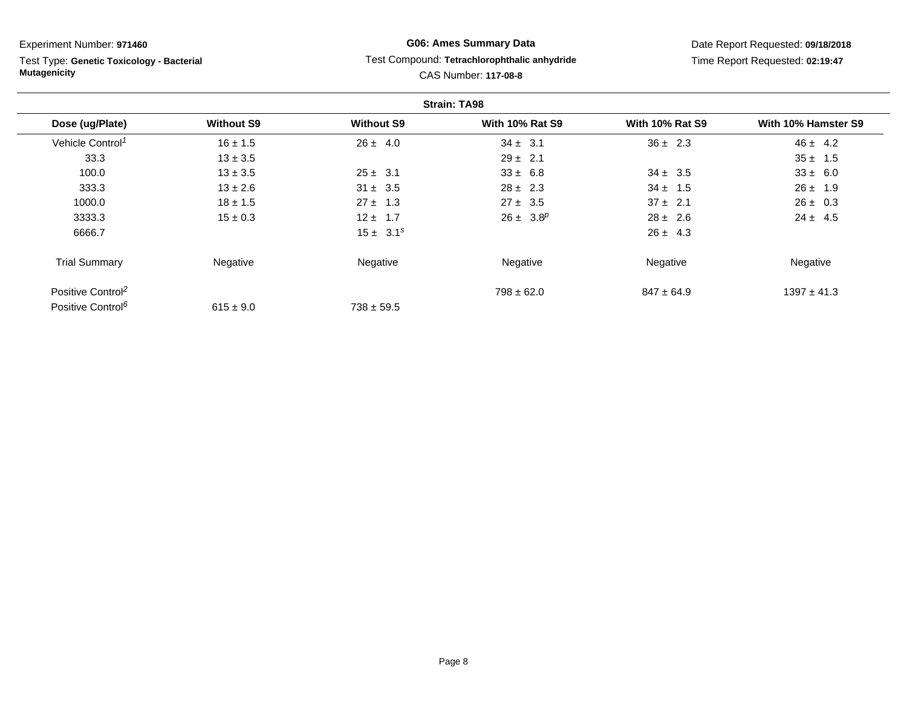Test Type: **Genetic Toxicology - Bacterial Mutagenicity**

# **G06: Ames Summary Data** Test Compound: **Tetrachlorophthalic anhydride**CAS Number: **117-08-8**

|                               |                   |                   | <b>Strain: TA98</b>    |                        |                     |
|-------------------------------|-------------------|-------------------|------------------------|------------------------|---------------------|
| Dose (ug/Plate)               | <b>Without S9</b> | <b>Without S9</b> | <b>With 10% Rat S9</b> | <b>With 10% Rat S9</b> | With 10% Hamster S9 |
| Vehicle Control <sup>1</sup>  | $16 \pm 1.5$      | $26 \pm 4.0$      | $34 \pm 3.1$           | $36 \pm 2.3$           | $46 \pm 4.2$        |
| 33.3                          | $13 \pm 3.5$      |                   | $29 \pm 2.1$           |                        | $35 \pm 1.5$        |
| 100.0                         | $13 \pm 3.5$      | $25 \pm 3.1$      | $33 \pm 6.8$           | $34 \pm 3.5$           | $33 \pm 6.0$        |
| 333.3                         | $13 \pm 2.6$      | $31 \pm 3.5$      | $28 \pm 2.3$           | $34 \pm 1.5$           | $26 \pm 1.9$        |
| 1000.0                        | $18 \pm 1.5$      | $27 \pm 1.3$      | $27 \pm 3.5$           | $37 \pm 2.1$           | $26 \pm 0.3$        |
| 3333.3                        | $15 \pm 0.3$      | $12 \pm 1.7$      | $26 \pm 3.8^p$         | $28 \pm 2.6$           | $24 \pm 4.5$        |
| 6666.7                        |                   | $15 \pm 3.1^s$    |                        | $26 \pm 4.3$           |                     |
| <b>Trial Summary</b>          | Negative          | Negative          | Negative               | Negative               | Negative            |
| Positive Control <sup>2</sup> |                   |                   | $798 \pm 62.0$         | $847 \pm 64.9$         | $1397 \pm 41.3$     |
| Positive Control <sup>6</sup> | $615 \pm 9.0$     | $738 \pm 59.5$    |                        |                        |                     |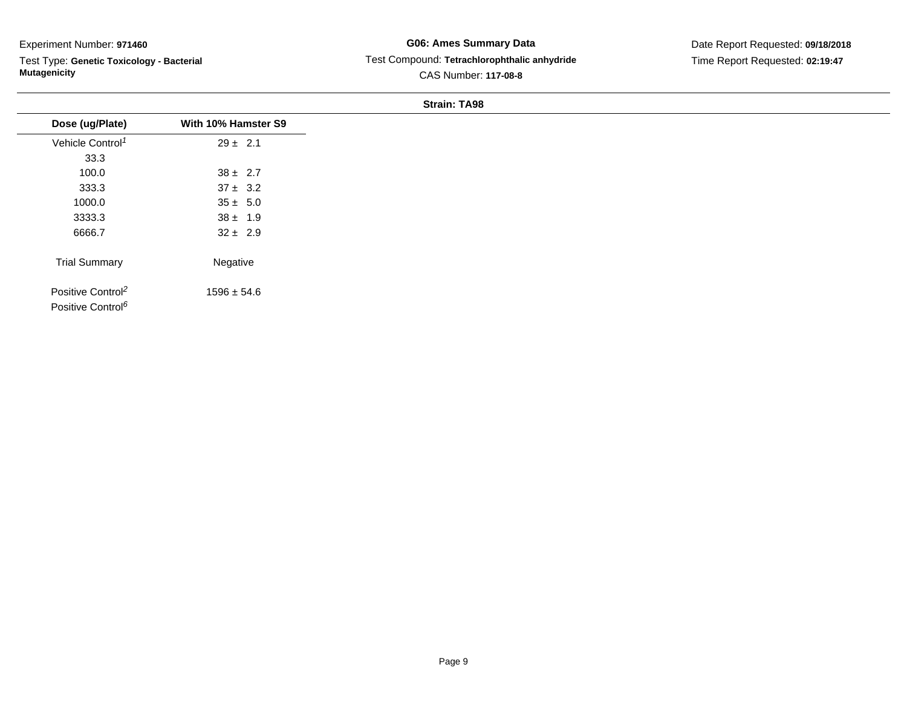Test Type: **Genetic Toxicology - Bacterial Mutagenicity**

# **G06: Ames Summary Data** Test Compound: **Tetrachlorophthalic anhydride**CAS Number: **117-08-8**

Date Report Requested: **09/18/2018**Time Report Requested: **02:19:47**

| Dose (ug/Plate)                                                | With 10% Hamster S9 |
|----------------------------------------------------------------|---------------------|
| Vehicle Control <sup>1</sup>                                   | $29 \pm 2.1$        |
| 33.3                                                           |                     |
| 100.0                                                          | $38 \pm 2.7$        |
| 333.3                                                          | $37 \pm 3.2$        |
| 1000.0                                                         | $35 \pm 5.0$        |
| 3333.3                                                         | $38 \pm 1.9$        |
| 6666.7                                                         | $32 \pm 2.9$        |
| <b>Trial Summary</b>                                           | Negative            |
| Positive Control <sup>2</sup><br>Positive Control <sup>6</sup> | $1596 \pm 54.6$     |